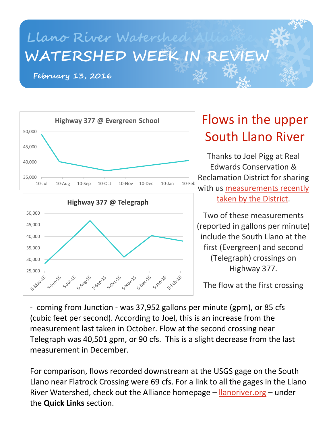## **Llano River Watershed Alliance WATERSHED WEEK IN REVIEW**

**February 13, 2016**





# South Llano River

Thanks to Joel Pigg at Real Edwards Conservation & Reclamation District for sharing with us [measurements recently](http://www.recrd.org/2016/02/november-2013-river-flows/)  [taken by the District.](http://www.recrd.org/2016/02/november-2013-river-flows/)

Two of these measurements (reported in gallons per minute) include the South Llano at the first (Evergreen) and second (Telegraph) crossings on Highway 377.

The flow at the first crossing

- coming from Junction - was 37,952 gallons per minute (gpm), or 85 cfs (cubic feet per second). According to Joel, this is an increase from the measurement last taken in October. Flow at the second crossing near Telegraph was 40,501 gpm, or 90 cfs. This is a slight decrease from the last measurement in December.

 $\Box$ River Watershed, check out the Alliance homepage – <u>Ilanoriver.org</u> – under ror comparison, nows recorded downstream at the 0303 gage on the South<br>Llano near Flatrock Crossing were 69 cfs. For a link to all the gages in the Llano For comparison, flows recorded downstream at the USGS gage on the South the **Quick Links** section.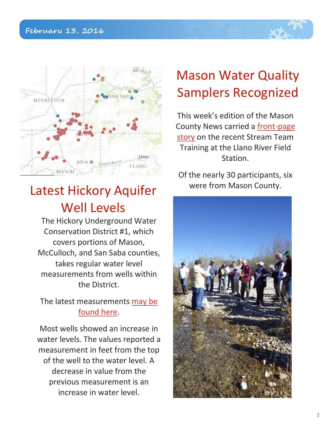

### Latest Hickory Aquifer Well Levels

The Hickory Underground Water Conservation District #1, which covers portions of Mason, McCulloch, and San Saba counties, takes regular water level measurements from wells within the District.

#### The latest measurements [may be](http://hickoryuwcd.org/waterlevels.html)  [found here.](http://hickoryuwcd.org/waterlevels.html)

Most wells showed an increase in water levels. The values reported a measurement in feet from the top of the well to the water level. A decrease in value from the previous measurement is an increase in water level.

## Mason Water Quality Samplers Recognized

This week's edition of the Mason County News carried a [front-page](http://www.masoncountynews.com/news/121902/)  [story](http://www.masoncountynews.com/news/121902/) on the recent Stream Team Training at the Llano River Field Station.

Of the nearly 30 participants, six were from Mason County.